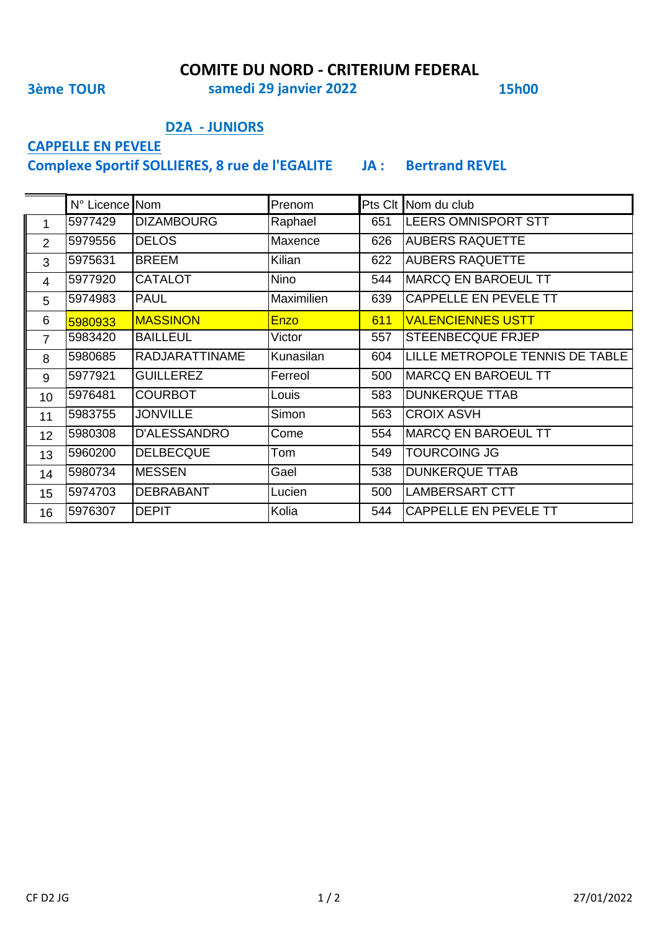**COMITE DU NORD - CRITERIUM FEDERAL** 

**3ème TOUR** 

samedi 29 janvier 2022

**15h00** 

#### **D2A - JUNIORS**

## **CAPPELLE EN PEVELE**

Complexe Sportif SOLLIERES, 8 rue de l'EGALITE JA : Bertrand REVEL

|                     | N° Licence Nom |                       | Prenom      |     | Pts Clt Nom du club             |
|---------------------|----------------|-----------------------|-------------|-----|---------------------------------|
| $\blacksquare$<br>1 | 5977429        | <b>DIZAMBOURG</b>     | Raphael     | 651 | <b>LEERS OMNISPORT STT</b>      |
| $\overline{2}$      | 5979556        | <b>DELOS</b>          | Maxence     | 626 | <b>AUBERS RAQUETTE</b>          |
| 3                   | 5975631        | <b>BREEM</b>          | Kilian      | 622 | <b>AUBERS RAQUETTE</b>          |
| 4                   | 5977920        | <b>CATALOT</b>        | <b>Nino</b> | 544 | <b>MARCQ EN BAROEUL TT</b>      |
| 5                   | 5974983        | <b>PAUL</b>           | Maximilien  | 639 | CAPPELLE EN PEVELE TT           |
| 6                   | 5980933        | <b>MASSINON</b>       | <b>Enzo</b> | 611 | <b>VALENCIENNES USTT</b>        |
| $\overline{7}$      | 5983420        | <b>BAILLEUL</b>       | Victor      | 557 | <b>STEENBECQUE FRJEP</b>        |
| 8                   | 5980685        | <b>RADJARATTINAME</b> | Kunasilan   | 604 | LILLE METROPOLE TENNIS DE TABLE |
| 9                   | 5977921        | <b>GUILLEREZ</b>      | Ferreol     | 500 | <b>MARCQ EN BAROEUL TT</b>      |
| 10                  | 5976481        | <b>COURBOT</b>        | Louis       | 583 | <b>DUNKERQUE TTAB</b>           |
| 11                  | 5983755        | <b>JONVILLE</b>       | Simon       | 563 | <b>CROIX ASVH</b>               |
| 12                  | 5980308        | <b>D'ALESSANDRO</b>   | Come        | 554 | <b>MARCQ EN BAROEUL TT</b>      |
| 13                  | 5960200        | <b>DELBECQUE</b>      | Tom         | 549 | TOURCOING JG                    |
| 14                  | 5980734        | <b>MESSEN</b>         | Gael        | 538 | <b>DUNKERQUE TTAB</b>           |
| 15                  | 5974703        | <b>DEBRABANT</b>      | Lucien      | 500 | <b>LAMBERSART CTT</b>           |
| 16                  | 5976307        | <b>DEPIT</b>          | Kolia       | 544 | <b>CAPPELLE EN PEVELE TT</b>    |